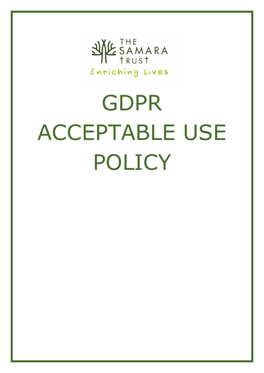

## GDPR ACCEPTABLE USE POLICY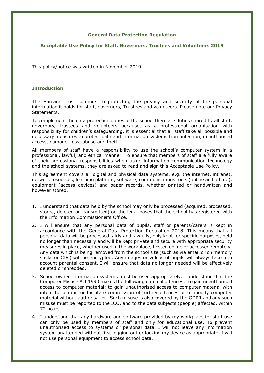## **General Data Protection Regulation**

## **Acceptable Use Policy for Staff, Governors, Trustees and Volunteers 2019**

This policy/notice was written in November 2019.

## **Introduction**

The Samara Trust commits to protecting the privacy and security of the personal information it holds for staff, governors, Trustees and volunteers. Please note our Privacy Statements.

To complement the data protection duties of the school there are duties shared by all staff, governors, trustees and volunteers because, as a professional organisation with responsibility for children's safeguarding, it is essential that all staff take all possible and necessary measures to protect data and information systems from infection, unauthorised access, damage, loss, abuse and theft.

All members of staff have a responsibility to use the school's computer system in a professional, lawful, and ethical manner. To ensure that members of staff are fully aware of their professional responsibilities when using information communication technology and the school systems, they are asked to read and sign this Acceptable Use Policy.

This agreement covers all digital and physical data systems, e.g. the internet, intranet, network resources, learning platform, software, communications tools (online and offline), equipment (access devices) and paper records, whether printed or handwritten and however stored.

- 1. I understand that data held by the school may only be processed (acquired, processed, stored, deleted or transmitted) on the legal bases that the school has registered with the Information Commissioner's Office.
- 2. I will ensure that any personal data of pupils, staff or parents/carers is kept in accordance with the General Data Protection Regulation 2018. This means that all personal data will be processed fairly and lawfully, only kept for specific purposes, held no longer than necessary and will be kept private and secure with appropriate security measures in place, whether used in the workplace, hosted online or accessed remotely. Any data which is being removed from the school site (such as via email or on memory sticks or CDs) will be encrypted. Any images or videos of pupils will always take into account parental consent. I will ensure that data no longer needed will be effectively deleted or shredded.
- 3. School owned information systems must be used appropriately. I understand that the Computer Misuse Act 1990 makes the following criminal offences: to gain unauthorised access to computer material; to gain unauthorised access to computer material with intent to commit or facilitate commission of further offences or to modify computer material without authorisation. Such misuse is also covered by the GDPR and any such misuse must be reported to the ICO, and to the data subjects (people) affected, within 72 hours.
- 4. I understand that any hardware and software provided by my workplace for staff use can only be used by members of staff and only for educational use. To prevent unauthorised access to systems or personal data, I will not leave any information system unattended without first logging out or locking my device as appropriate. I will not use personal equipment to access school data.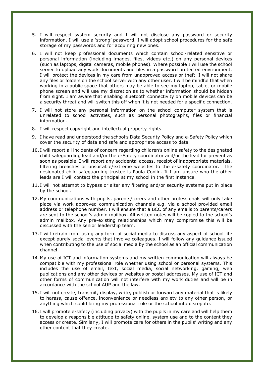- 5. I will respect system security and I will not disclose any password or security information. I will use a 'strong' password. I will adopt school procedures for the safe storage of my passwords and for acquiring new ones.
- 6. I will not keep professional documents which contain school-related sensitive or personal information (including images, files, videos etc.) on any personal devices (such as laptops, digital cameras, mobile phones). Where possible I will use the school server to upload any work documents and files in a password protected environment. I will protect the devices in my care from unapproved access or theft. I will not share any files or folders on the school server with any other user. I will be mindful that when working in a public space that others may be able to see my laptop, tablet or mobile phone screen and will use my discretion as to whether information should be hidden from sight. I am aware that enabling Bluetooth connectivity on mobile devices can be a security threat and will switch this off when it is not needed for a specific connection.
- 7. I will not store any personal information on the school computer system that is unrelated to school activities, such as personal photographs, files or financial information.
- 8. I will respect copyright and intellectual property rights.
- 9. I have read and understood the school's Data Security Policy and e-Safety Policy which cover the security of data and safe and appropriate access to data.
- 10. I will report all incidents of concern regarding children's online safety to the designated child safeguarding lead and/or the e-Safety coordinator and/or the lead for prevent as soon as possible. I will report any accidental access, receipt of inappropriate materials, filtering breaches or unsuitable/extreme websites to the e-safety coordinator. The designated child safeguarding trustee is Paula Conlin. If I am unsure who the other leads are I will contact the principal at my school in the first instance.
- 11. I will not attempt to bypass or alter any filtering and/or security systems put in place by the school.
- 12. My communications with pupils, parents/carers and other professionals will only take place via work approved communication channels e.g. via a school provided email address or telephone number. I will ensure that a BCC of any emails to parents/carers are sent to the school's admin mailbox. All written notes will be copied to the school's admin mailbox**.** Any pre-existing relationships which may compromise this will be discussed with the senior leadership team.
- 13. I will refrain from using any form of social media to discuss any aspect of school life except purely social events that involve colleagues. I will follow any guidance issued when contributing to the use of social media by the school as an official communication channel.
- 14. My use of ICT and information systems and my written communication will always be compatible with my professional role whether using school or personal systems. This includes the use of email, text, social media, social networking, gaming, web publications and any other devices or websites or postal addresses. My use of ICT and other forms of communication will not interfere with my work duties and will be in accordance with the school AUP and the law.
- 15. I will not create, transmit, display, write, publish or forward any material that is likely to harass, cause offence, inconvenience or needless anxiety to any other person, or anything which could bring my professional role or the school into disrepute.
- 16. I will promote e-safety (including privacy) with the pupils in my care and will help them to develop a responsible attitude to safety online, system use and to the content they access or create. Similarly, I will promote care for others in the pupils' writing and any other content that they create.